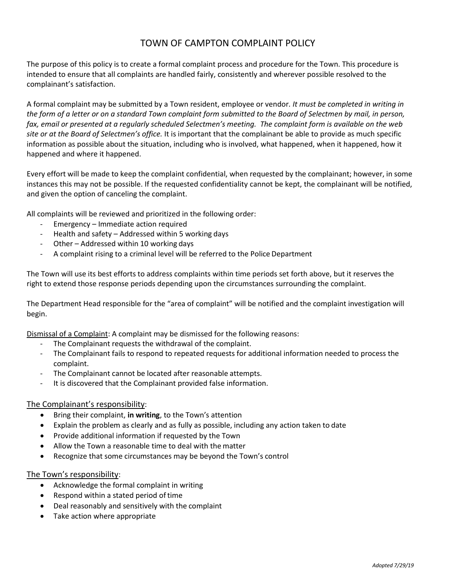## TOWN OF CAMPTON COMPLAINT POLICY

The purpose of this policy is to create a formal complaint process and procedure for the Town. This procedure is intended to ensure that all complaints are handled fairly, consistently and wherever possible resolved to the complainant's satisfaction.

A formal complaint may be submitted by a Town resident, employee or vendor*. It must be completed in writing in the form of a letter or on a standard Town complaint form submitted to the Board of Selectmen by mail, in person, fax, email or presented at a regularly scheduled Selectmen's meeting. The complaint form is available on the web site or at the Board of Selectmen's office.* It is important that the complainant be able to provide as much specific information as possible about the situation, including who is involved, what happened, when it happened, how it happened and where it happened.

Every effort will be made to keep the complaint confidential, when requested by the complainant; however, in some instances this may not be possible. If the requested confidentiality cannot be kept, the complainant will be notified, and given the option of canceling the complaint.

All complaints will be reviewed and prioritized in the following order:

- Emergency Immediate action required
- Health and safety Addressed within 5 working days
- Other Addressed within 10 working days
- A complaint rising to a criminal level will be referred to the Police Department

The Town will use its best efforts to address complaints within time periods set forth above, but it reserves the right to extend those response periods depending upon the circumstances surrounding the complaint.

The Department Head responsible for the "area of complaint" will be notified and the complaint investigation will begin.

Dismissal of a Complaint: A complaint may be dismissed for the following reasons:

- The Complainant requests the withdrawal of the complaint.
- The Complainant fails to respond to repeated requests for additional information needed to process the complaint.
- The Complainant cannot be located after reasonable attempts.
- It is discovered that the Complainant provided false information.

## The Complainant's responsibility:

- Bring their complaint, **in writing**, to the Town's attention
- Explain the problem as clearly and as fully as possible, including any action taken to date
- Provide additional information if requested by the Town
- Allow the Town a reasonable time to deal with the matter
- Recognize that some circumstances may be beyond the Town's control

## The Town's responsibility:

- Acknowledge the formal complaint in writing
- Respond within a stated period of time
- Deal reasonably and sensitively with the complaint
- Take action where appropriate